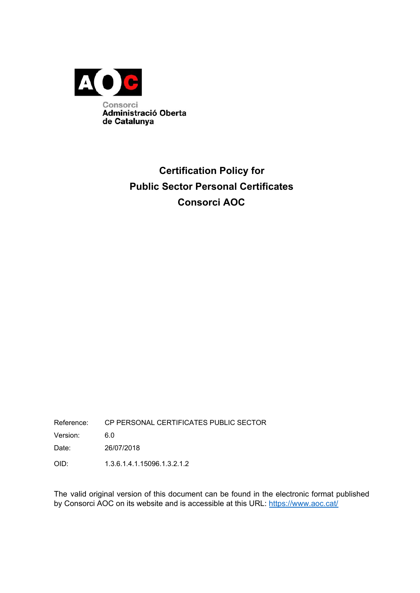

## **Certification Policy for Public Sector Personal Certificates Consorci AOC**

Reference: CP PERSONAL CERTIFICATES PUBLIC SECTOR

Version: 6.0

Date: 26/07/2018

OID: 1.3.6.1.4.1.15096.1.3.2.1.2

The valid original version of this document can be found in the electronic format published by Consorci AOC on its website and is accessible at this URL: <https://www.aoc.cat/>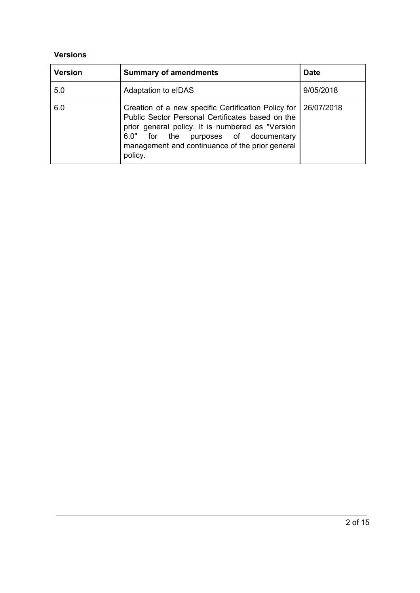#### **Versions**

| <b>Version</b> | <b>Summary of amendments</b>                                                                                                                                                                                                                                         | <b>Date</b> |
|----------------|----------------------------------------------------------------------------------------------------------------------------------------------------------------------------------------------------------------------------------------------------------------------|-------------|
| 5.0            | Adaptation to eIDAS                                                                                                                                                                                                                                                  | 9/05/2018   |
| 6.0            | Creation of a new specific Certification Policy for<br>Public Sector Personal Certificates based on the<br>prior general policy. It is numbered as "Version<br>for the purposes of documentary<br>6.0"<br>management and continuance of the prior general<br>policy. | 26/07/2018  |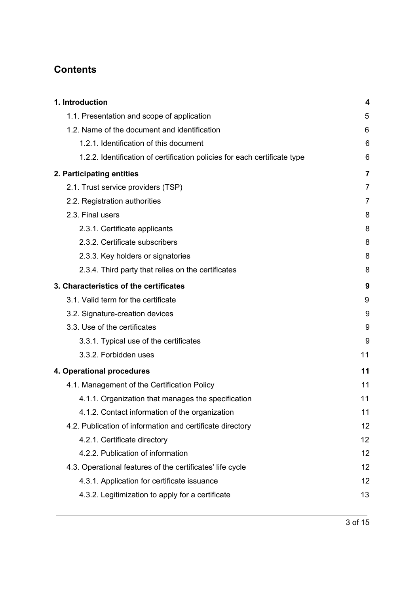### **Contents**

| 1. Introduction                                                           | 4  |
|---------------------------------------------------------------------------|----|
| 1.1. Presentation and scope of application                                | 5  |
| 1.2. Name of the document and identification                              | 6  |
| 1.2.1. Identification of this document                                    | 6  |
| 1.2.2. Identification of certification policies for each certificate type | 6  |
| 2. Participating entities                                                 | 7  |
| 2.1. Trust service providers (TSP)                                        | 7  |
| 2.2. Registration authorities                                             | 7  |
| 2.3. Final users                                                          | 8  |
| 2.3.1. Certificate applicants                                             | 8  |
| 2.3.2. Certificate subscribers                                            | 8  |
| 2.3.3. Key holders or signatories                                         | 8  |
| 2.3.4. Third party that relies on the certificates                        | 8  |
| 3. Characteristics of the certificates                                    | 9  |
| 3.1. Valid term for the certificate                                       | 9  |
| 3.2. Signature-creation devices                                           | 9  |
| 3.3. Use of the certificates                                              | 9  |
| 3.3.1. Typical use of the certificates                                    | 9  |
| 3.3.2. Forbidden uses                                                     | 11 |
| 4. Operational procedures                                                 | 11 |
| 4.1. Management of the Certification Policy                               | 11 |
| 4.1.1. Organization that manages the specification                        | 11 |
| 4.1.2. Contact information of the organization                            | 11 |
| 4.2. Publication of information and certificate directory                 | 12 |
| 4.2.1. Certificate directory                                              | 12 |
| 4.2.2. Publication of information                                         | 12 |
| 4.3. Operational features of the certificates' life cycle                 | 12 |
| 4.3.1. Application for certificate issuance                               | 12 |
| 4.3.2. Legitimization to apply for a certificate                          | 13 |
|                                                                           |    |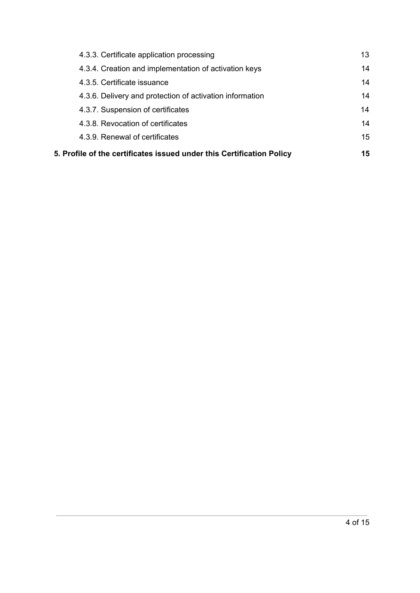<span id="page-3-0"></span>

| 4.3.3. Certificate application processing                             | 13 |
|-----------------------------------------------------------------------|----|
| 4.3.4. Creation and implementation of activation keys                 | 14 |
| 4.3.5. Certificate issuance                                           | 14 |
| 4.3.6. Delivery and protection of activation information              | 14 |
| 4.3.7. Suspension of certificates                                     | 14 |
| 4.3.8. Revocation of certificates                                     | 14 |
| 4.3.9. Renewal of certificates                                        | 15 |
| 5. Profile of the certificates issued under this Certification Policy | 15 |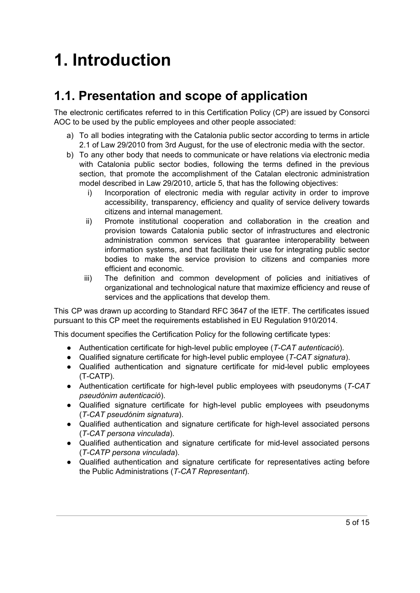# **1. Introduction**

# <span id="page-4-0"></span>**1.1. Presentation and scope of application**

The electronic certificates referred to in this Certification Policy (CP) are issued by Consorci AOC to be used by the public employees and other people associated:

- a) To all bodies integrating with the Catalonia public sector according to terms in article 2.1 of Law 29/2010 from 3rd August, for the use of electronic media with the sector.
- b) To any other body that needs to communicate or have relations via electronic media with Catalonia public sector bodies, following the terms defined in the previous section, that promote the accomplishment of the Catalan electronic administration model described in Law 29/2010, article 5, that has the following objectives:
	- i) Incorporation of electronic media with regular activity in order to improve accessibility, transparency, efficiency and quality of service delivery towards citizens and internal management.
	- ii) Promote institutional cooperation and collaboration in the creation and provision towards Catalonia public sector of infrastructures and electronic administration common services that guarantee interoperability between information systems, and that facilitate their use for integrating public sector bodies to make the service provision to citizens and companies more efficient and economic.
	- iii) The definition and common development of policies and initiatives of organizational and technological nature that maximize efficiency and reuse of services and the applications that develop them.

This CP was drawn up according to Standard RFC 3647 of the IETF. The certificates issued pursuant to this CP meet the requirements established in EU Regulation 910/2014.

This document specifies the Certification Policy for the following certificate types:

- Authentication certificate for high-level public employee (*T-CAT autenticació*).
- Qualified signature certificate for high-level public employee (*T-CAT signatura*).
- Qualified authentication and signature certificate for mid-level public employees (T-CATP).
- Authentication certificate for high-level public employees with pseudonyms (*T-CAT pseudònim autenticació*).
- Qualified signature certificate for high-level public employees with pseudonyms (*T-CAT pseudónim signatura*).
- Qualified authentication and signature certificate for high-level associated persons (*T-CAT persona vinculada*).
- Qualified authentication and signature certificate for mid-level associated persons (*T-CATP persona vinculada*).
- Qualified authentication and signature certificate for representatives acting before the Public Administrations (*T-CAT Representant*).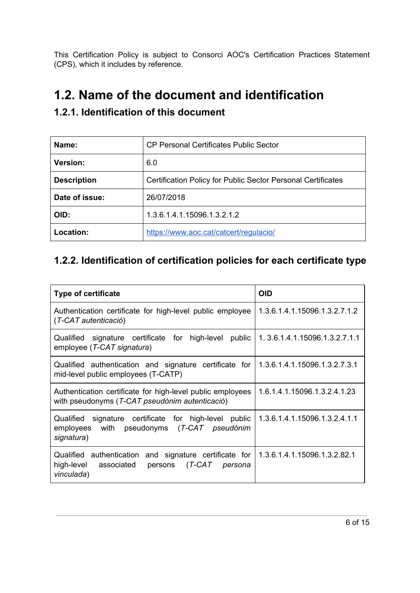This Certification Policy is subject to Consorci AOC's Certification Practices Statement (CPS), which it includes by reference.

### <span id="page-5-0"></span>**1.2. Name of the document and identification**

| Name:              | <b>CP Personal Certificates Public Sector</b>                       |  |
|--------------------|---------------------------------------------------------------------|--|
| <b>Version:</b>    | 6.0                                                                 |  |
| <b>Description</b> | <b>Certification Policy for Public Sector Personal Certificates</b> |  |
| Date of issue:     | 26/07/2018                                                          |  |
| OID:               | 1.3.6.1.4.1.15096.1.3.2.1.2                                         |  |
| Location:          | https://www.aoc.cat/catcert/requlacio/                              |  |

### <span id="page-5-1"></span>**1.2.1. Identification of this document**

### <span id="page-5-2"></span>**1.2.2. Identification of certification policies for each certificate type**

| Type of certificate                                                                                                     | <b>OID</b>                    |
|-------------------------------------------------------------------------------------------------------------------------|-------------------------------|
| Authentication certificate for high-level public employee<br>(T-CAT autenticació)                                       | 1.3.6.1.4.1.15096.1.3.2.7.1.2 |
| signature certificate for high-level<br>public<br>Qualified<br>employee (T-CAT signatura)                               | 1.3.6.1.4.1.15096.1.3.2.7.1.1 |
| Qualified authentication and signature certificate for<br>mid-level public employees (T-CATP)                           | 1.3.6.1.4.1.15096.1.3.2.7.3.1 |
| Authentication certificate for high-level public employees<br>with pseudonyms (T-CAT pseudònim autenticació)            | 1.6.1.4.1.15096.1.3.2.4.1.23  |
| signature certificate for high-level public<br>Qualified<br>with pseudonyms (T-CAT pseudónim<br>employees<br>signatura) | 1.3.6.1.4.1.15096.1.3.2.4.1.1 |
| Qualified authentication and signature certificate for<br>high-level associated persons (T-CAT persona<br>vinculada)    | 1.3.6.1.4.1.15096.1.3.2.82.1  |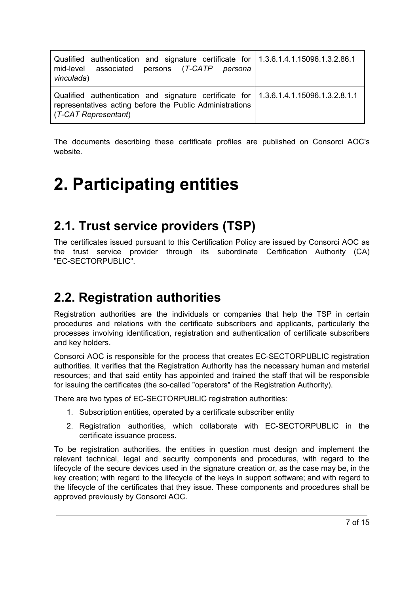| Qualified authentication and signature certificate for   1.3.6.1.4.1.15096.1.3.2.86.1<br>mid-level associated persons (T-CATP persona<br>vinculada)                      |  |
|--------------------------------------------------------------------------------------------------------------------------------------------------------------------------|--|
| Qualified authentication and signature certificate for 1.3.6.1.4.1.15096.1.3.2.8.1.1<br>representatives acting before the Public Administrations<br>(T-CAT Representant) |  |

The documents describing these certificate profiles are published on Consorci AOC's website.

# <span id="page-6-0"></span>**2. Participating entities**

# <span id="page-6-1"></span>**2.1. Trust service providers (TSP)**

The certificates issued pursuant to this Certification Policy are issued by Consorci AOC as the trust service provider through its subordinate Certification Authority (CA) "EC-SECTORPUBLIC".

# <span id="page-6-2"></span>**2.2. Registration authorities**

Registration authorities are the individuals or companies that help the TSP in certain procedures and relations with the certificate subscribers and applicants, particularly the processes involving identification, registration and authentication of certificate subscribers and key holders.

Consorci AOC is responsible for the process that creates EC-SECTORPUBLIC registration authorities. It verifies that the Registration Authority has the necessary human and material resources; and that said entity has appointed and trained the staff that will be responsible for issuing the certificates (the so-called "operators" of the Registration Authority).

There are two types of EC-SECTORPUBLIC registration authorities:

- 1. Subscription entities, operated by a certificate subscriber entity
- 2. Registration authorities, which collaborate with EC-SECTORPUBLIC in the certificate issuance process.

To be registration authorities, the entities in question must design and implement the relevant technical, legal and security components and procedures, with regard to the lifecycle of the secure devices used in the signature creation or, as the case may be, in the key creation; with regard to the lifecycle of the keys in support software; and with regard to the lifecycle of the certificates that they issue. These components and procedures shall be approved previously by Consorci AOC.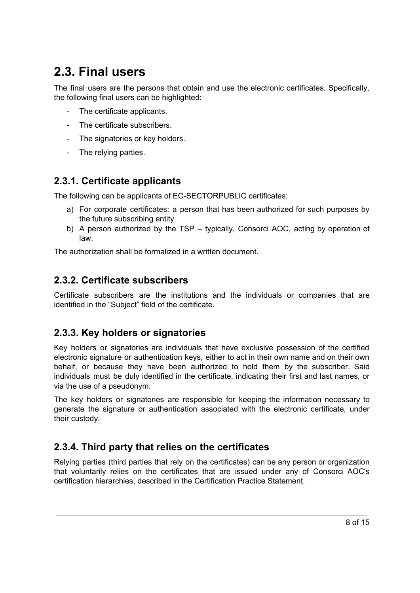# <span id="page-7-0"></span>**2.3. Final users**

The final users are the persons that obtain and use the electronic certificates. Specifically, the following final users can be highlighted:

- The certificate applicants.
- The certificate subscribers.
- The signatories or key holders.
- The relying parties.

#### <span id="page-7-1"></span>**2.3.1. Certificate applicants**

The following can be applicants of EC-SECTORPUBLIC certificates:

- a) For corporate certificates: a person that has been authorized for such purposes by the future subscribing entity
- b) A person authorized by the TSP typically, Consorci AOC, acting by operation of law.

The authorization shall be formalized in a written document.

#### <span id="page-7-2"></span>**2.3.2. Certificate subscribers**

Certificate subscribers are the institutions and the individuals or companies that are identified in the "Subject" field of the certificate.

#### <span id="page-7-3"></span>**2.3.3. Key holders or signatories**

Key holders or signatories are individuals that have exclusive possession of the certified electronic signature or authentication keys, either to act in their own name and on their own behalf, or because they have been authorized to hold them by the subscriber. Said individuals must be duly identified in the certificate, indicating their first and last names, or via the use of a pseudonym.

The key holders or signatories are responsible for keeping the information necessary to generate the signature or authentication associated with the electronic certificate, under their custody.

#### <span id="page-7-4"></span>**2.3.4. Third party that relies on the certificates**

Relying parties (third parties that rely on the certificates) can be any person or organization that voluntarily relies on the certificates that are issued under any of Consorci AOC's certification hierarchies, described in the Certification Practice Statement.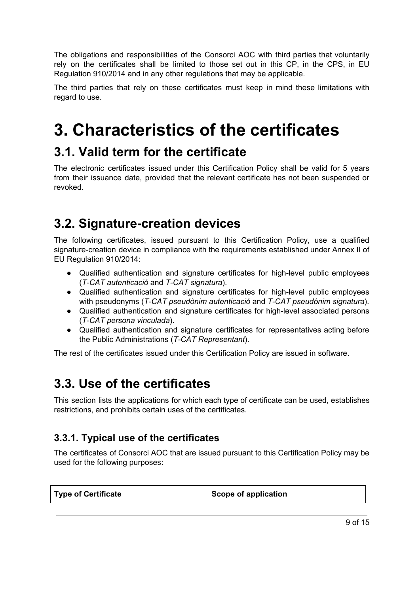The obligations and responsibilities of the Consorci AOC with third parties that voluntarily rely on the certificates shall be limited to those set out in this CP, in the CPS, in EU Regulation 910/2014 and in any other regulations that may be applicable.

The third parties that rely on these certificates must keep in mind these limitations with regard to use.

# <span id="page-8-0"></span>**3. Characteristics of the certificates**

### <span id="page-8-1"></span>**3.1. Valid term for the certificate**

The electronic certificates issued under this Certification Policy shall be valid for 5 years from their issuance date, provided that the relevant certificate has not been suspended or revoked.

# <span id="page-8-2"></span>**3.2. Signature-creation devices**

The following certificates, issued pursuant to this Certification Policy, use a qualified signature-creation device in compliance with the requirements established under Annex II of EU Regulation 910/2014:

- Qualified authentication and signature certificates for high-level public employees (*T-CAT autenticació* and *T-CAT signatura*).
- Qualified authentication and signature certificates for high-level public employees with pseudonyms (*T-CAT pseudònim autenticació* and *T-CAT pseudónim signatura*).
- Qualified authentication and signature certificates for high-level associated persons (*T-CAT persona vinculada*).
- Qualified authentication and signature certificates for representatives acting before the Public Administrations (*T-CAT Representant*).

The rest of the certificates issued under this Certification Policy are issued in software.

## <span id="page-8-3"></span>**3.3. Use of the certificates**

This section lists the applications for which each type of certificate can be used, establishes restrictions, and prohibits certain uses of the certificates.

### <span id="page-8-4"></span>**3.3.1. Typical use of the certificates**

The certificates of Consorci AOC that are issued pursuant to this Certification Policy may be used for the following purposes:

| <b>Type of Certificate</b> | Scope of application |
|----------------------------|----------------------|
|                            |                      |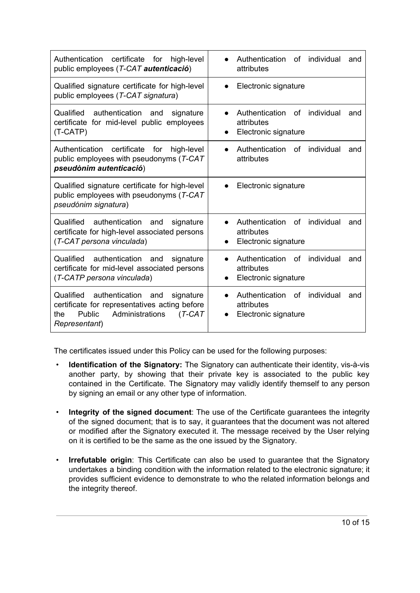| Authentication<br>certificate<br>for<br>high-level<br>public employees (T-CAT autenticació)                                                                       | Authentication<br>individual<br>of<br>and<br>attributes                                      |  |  |
|-------------------------------------------------------------------------------------------------------------------------------------------------------------------|----------------------------------------------------------------------------------------------|--|--|
| Qualified signature certificate for high-level<br>public employees (T-CAT signatura)                                                                              | Electronic signature                                                                         |  |  |
| Qualified authentication<br>signature<br>and<br>certificate for mid-level public employees<br>(T-CATP)                                                            | individual<br>Authentication<br>of<br>and<br>attributes<br>Electronic signature              |  |  |
| certificate<br>Authentication<br>for<br>high-level<br>public employees with pseudonyms (T-CAT<br>pseudònim autenticació)                                          | individual<br>Authentication<br>0f<br>and<br>attributes                                      |  |  |
| Qualified signature certificate for high-level<br>public employees with pseudonyms $(T-CAT)$<br>pseudónim signatura)                                              | Electronic signature                                                                         |  |  |
| Qualified authentication<br>and<br>signature<br>certificate for high-level associated persons<br>(T-CAT persona vinculada)                                        | individual<br>Authentication<br>0f<br>and<br>attributes<br>Electronic signature              |  |  |
| Qualified<br>authentication<br>and<br>signature<br>certificate for mid-level associated persons<br>(T-CATP persona vinculada)                                     | Authentication<br>of<br>individual<br>and<br>attributes<br>Electronic signature<br>$\bullet$ |  |  |
| Qualified<br>authentication<br>signature<br>and<br>certificate for representatives acting before<br>Public<br>Administrations<br>$(T-CAT$<br>the<br>Representant) | Authentication<br><b>of</b><br>individual<br>and<br>attributes<br>Electronic signature       |  |  |

The certificates issued under this Policy can be used for the following purposes:

- **Identification of the Signatory:** The Signatory can authenticate their identity, vis-à-vis another party, by showing that their private key is associated to the public key contained in the Certificate. The Signatory may validly identify themself to any person by signing an email or any other type of information.
- **Integrity of the signed document**: The use of the Certificate guarantees the integrity of the signed document; that is to say, it guarantees that the document was not altered or modified after the Signatory executed it. The message received by the User relying on it is certified to be the same as the one issued by the Signatory.
- **Irrefutable origin**: This Certificate can also be used to guarantee that the Signatory undertakes a binding condition with the information related to the electronic signature; it provides sufficient evidence to demonstrate to who the related information belongs and the integrity thereof.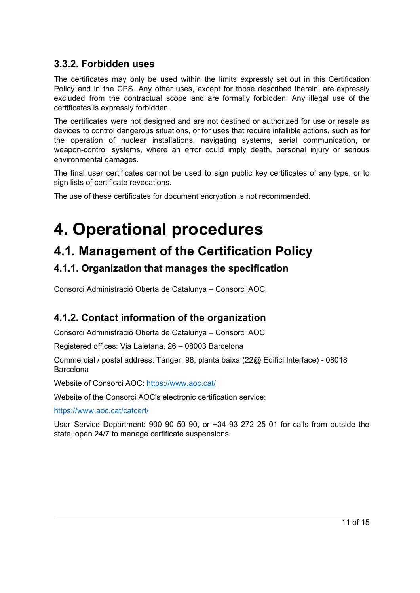#### <span id="page-10-0"></span>**3.3.2. Forbidden uses**

The certificates may only be used within the limits expressly set out in this Certification Policy and in the CPS. Any other uses, except for those described therein, are expressly excluded from the contractual scope and are formally forbidden. Any illegal use of the certificates is expressly forbidden.

The certificates were not designed and are not destined or authorized for use or resale as devices to control dangerous situations, or for uses that require infallible actions, such as for the operation of nuclear installations, navigating systems, aerial communication, or weapon-control systems, where an error could imply death, personal injury or serious environmental damages.

The final user certificates cannot be used to sign public key certificates of any type, or to sign lists of certificate revocations.

The use of these certificates for document encryption is not recommended.

# <span id="page-10-1"></span>**4. Operational procedures**

## <span id="page-10-2"></span>**4.1. Management of the Certification Policy**

### <span id="page-10-3"></span>**4.1.1. Organization that manages the specification**

Consorci Administració Oberta de Catalunya – Consorci AOC.

### <span id="page-10-4"></span>**4.1.2. Contact information of the organization**

Consorci Administració Oberta de Catalunya – Consorci AOC

Registered offices: Via Laietana, 26 – 08003 Barcelona

Commercial / postal address: Tànger, 98, planta baixa (22@ Edifici Interface) - 08018 **Barcelona** 

Website of Consorci AOC: https:/[/www.aoc.cat/](http://www.aoc.cat/)

Website of the Consorci AOC's electronic certification service:

https://[www.aoc.cat/catcert/](http://www.aoc.cat/catcert)

User Service Department: 900 90 50 90, or +34 93 272 25 01 for calls from outside the state, open 24/7 to manage certificate suspensions.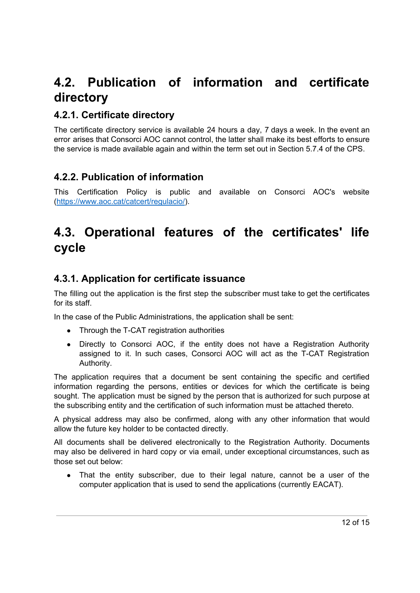# <span id="page-11-0"></span>**4.2. Publication of information and certificate directory**

### <span id="page-11-1"></span>**4.2.1. Certificate directory**

The certificate directory service is available 24 hours a day, 7 days a week. In the event an error arises that Consorci AOC cannot control, the latter shall make its best efforts to ensure the service is made available again and within the term set out in Section 5.7.4 of the CPS.

### <span id="page-11-2"></span>**4.2.2. Publication of information**

This Certification Policy is public and available on Consorci AOC's website [\(https://www.aoc.cat/catcert/regulacio/](https://www.aoc.cat/catcert/regulacio)).

# <span id="page-11-3"></span>**4.3. Operational features of the certificates' life cycle**

#### <span id="page-11-4"></span>**4.3.1. Application for certificate issuance**

The filling out the application is the first step the subscriber must take to get the certificates for its staff.

In the case of the Public Administrations, the application shall be sent:

- Through the T-CAT registration authorities
- Directly to Consorci AOC, if the entity does not have a Registration Authority assigned to it. In such cases, Consorci AOC will act as the T-CAT Registration Authority.

The application requires that a document be sent containing the specific and certified information regarding the persons, entities or devices for which the certificate is being sought. The application must be signed by the person that is authorized for such purpose at the subscribing entity and the certification of such information must be attached thereto.

A physical address may also be confirmed, along with any other information that would allow the future key holder to be contacted directly.

All documents shall be delivered electronically to the Registration Authority. Documents may also be delivered in hard copy or via email, under exceptional circumstances, such as those set out below:

• That the entity subscriber, due to their legal nature, cannot be a user of the computer application that is used to send the applications (currently EACAT).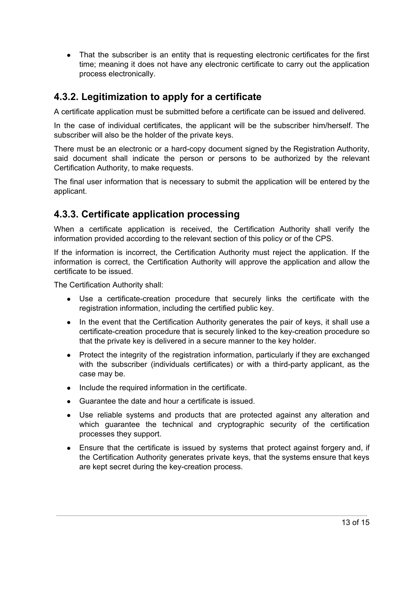• That the subscriber is an entity that is requesting electronic certificates for the first time; meaning it does not have any electronic certificate to carry out the application process electronically.

#### <span id="page-12-0"></span>**4.3.2. Legitimization to apply for a certificate**

A certificate application must be submitted before a certificate can be issued and delivered.

In the case of individual certificates, the applicant will be the subscriber him/herself. The subscriber will also be the holder of the private keys.

There must be an electronic or a hard-copy document signed by the Registration Authority, said document shall indicate the person or persons to be authorized by the relevant Certification Authority, to make requests.

The final user information that is necessary to submit the application will be entered by the applicant.

#### <span id="page-12-1"></span>**4.3.3. Certificate application processing**

When a certificate application is received, the Certification Authority shall verify the information provided according to the relevant section of this policy or of the CPS.

If the information is incorrect, the Certification Authority must reject the application. If the information is correct, the Certification Authority will approve the application and allow the certificate to be issued.

The Certification Authority shall:

- Use a certificate-creation procedure that securely links the certificate with the registration information, including the certified public key.
- In the event that the Certification Authority generates the pair of keys, it shall use a certificate-creation procedure that is securely linked to the key-creation procedure so that the private key is delivered in a secure manner to the key holder.
- Protect the integrity of the registration information, particularly if they are exchanged with the subscriber (individuals certificates) or with a third-party applicant, as the case may be.
- Include the required information in the certificate.
- Guarantee the date and hour a certificate is issued.
- Use reliable systems and products that are protected against any alteration and which guarantee the technical and cryptographic security of the certification processes they support.
- Ensure that the certificate is issued by systems that protect against forgery and, if the Certification Authority generates private keys, that the systems ensure that keys are kept secret during the key-creation process.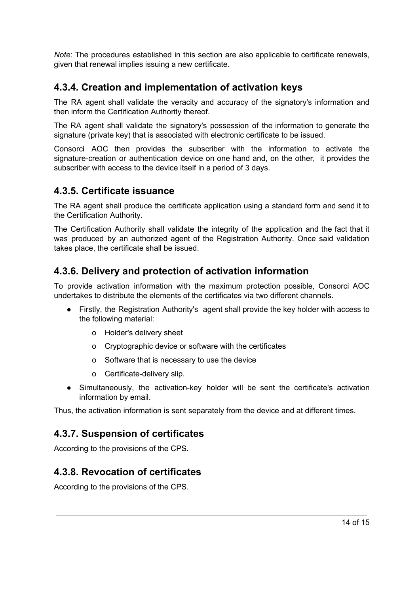*Note*: The procedures established in this section are also applicable to certificate renewals, given that renewal implies issuing a new certificate.

### <span id="page-13-0"></span>**4.3.4. Creation and implementation of activation keys**

The RA agent shall validate the veracity and accuracy of the signatory's information and then inform the Certification Authority thereof.

The RA agent shall validate the signatory's possession of the information to generate the signature (private key) that is associated with electronic certificate to be issued.

Consorci AOC then provides the subscriber with the information to activate the signature-creation or authentication device on one hand and, on the other, it provides the subscriber with access to the device itself in a period of 3 days.

#### <span id="page-13-1"></span>**4.3.5. Certificate issuance**

The RA agent shall produce the certificate application using a standard form and send it to the Certification Authority.

The Certification Authority shall validate the integrity of the application and the fact that it was produced by an authorized agent of the Registration Authority. Once said validation takes place, the certificate shall be issued.

#### <span id="page-13-2"></span>**4.3.6. Delivery and protection of activation information**

To provide activation information with the maximum protection possible, Consorci AOC undertakes to distribute the elements of the certificates via two different channels.

- Firstly, the Registration Authority's agent shall provide the key holder with access to the following material:
	- o Holder's delivery sheet
	- o Cryptographic device or software with the certificates
	- o Software that is necessary to use the device
	- o Certificate-delivery slip.
- Simultaneously, the activation-key holder will be sent the certificate's activation information by email.

Thus, the activation information is sent separately from the device and at different times.

#### <span id="page-13-3"></span>**4.3.7. Suspension of certificates**

According to the provisions of the CPS.

#### <span id="page-13-4"></span>**4.3.8. Revocation of certificates**

According to the provisions of the CPS.